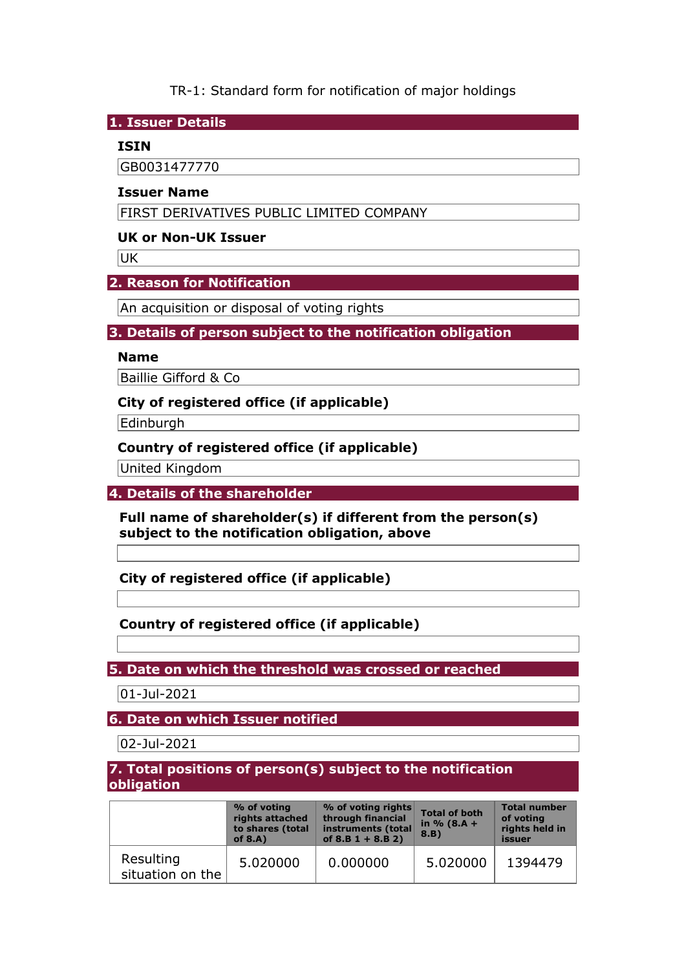TR-1: Standard form for notification of major holdings

**1. Issuer Details** 

#### **ISIN**

GB0031477770

#### **Issuer Name**

FIRST DERIVATIVES PUBLIC LIMITED COMPANY

### **UK or Non-UK Issuer**

UK

# **2. Reason for Notification**

An acquisition or disposal of voting rights

# **3. Details of person subject to the notification obligation**

#### **Name**

Baillie Gifford & Co

# **City of registered office (if applicable)**

Edinburgh

# **Country of registered office (if applicable)**

United Kingdom

# **4. Details of the shareholder**

**Full name of shareholder(s) if different from the person(s) subject to the notification obligation, above** 

**City of registered office (if applicable)** 

# **Country of registered office (if applicable)**

**5. Date on which the threshold was crossed or reached** 

01-Jul-2021

**6. Date on which Issuer notified** 

02-Jul-2021

# **7. Total positions of person(s) subject to the notification obligation**

|                               | % of voting<br>rights attached<br>to shares (total<br>of $8.A$ ) | % of voting rights<br>through financial<br>instruments (total<br>of $8.B 1 + 8.B 2)$ | <b>Total of both</b><br>in $% (8.A +$<br>8.B) | <b>Total number</b><br>of voting<br>rights held in<br>issuer |
|-------------------------------|------------------------------------------------------------------|--------------------------------------------------------------------------------------|-----------------------------------------------|--------------------------------------------------------------|
| Resulting<br>situation on the | 5.020000                                                         | 0.000000                                                                             | 5.020000                                      | 1394479                                                      |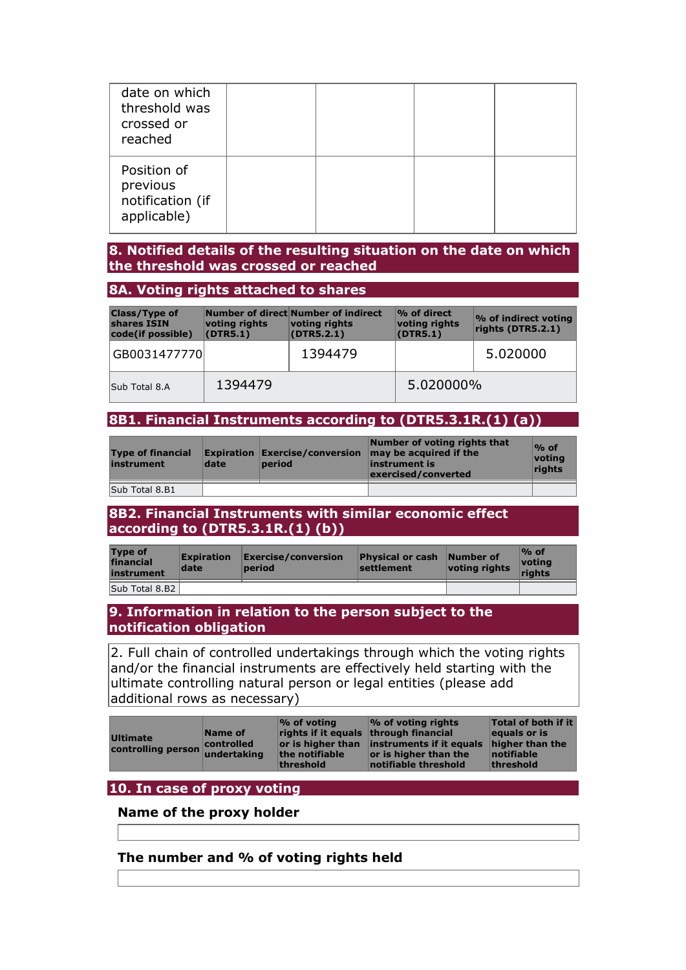| date on which<br>threshold was<br>crossed or<br>reached    |  |  |
|------------------------------------------------------------|--|--|
| Position of<br>previous<br>notification (if<br>applicable) |  |  |

# **8. Notified details of the resulting situation on the date on which the threshold was crossed or reached**

#### **8A. Voting rights attached to shares**

| <b>Class/Type of</b><br>shares ISIN<br>code(if possible) | voting rights<br>(DTR5.1) | Number of direct Number of indirect<br>voting rights<br>(DTR5.2.1) | % of direct<br>voting rights<br>(DTR5.1) | % of indirect voting<br>rights (DTR5.2.1) |
|----------------------------------------------------------|---------------------------|--------------------------------------------------------------------|------------------------------------------|-------------------------------------------|
| GB0031477770                                             |                           | 1394479                                                            |                                          | 5.020000                                  |
| Sub Total 8.A                                            | 1394479                   |                                                                    | 5.020000%                                |                                           |

### **8B1. Financial Instruments according to (DTR5.3.1R.(1) (a))**

| <b>Type of financial</b><br>instrument | date | period | Number of voting rights that<br>Expiration $Exercise/conversion$ may be acquired if the<br>instrument is<br>exercised/converted | $\%$ of<br>votina<br>riahts |
|----------------------------------------|------|--------|---------------------------------------------------------------------------------------------------------------------------------|-----------------------------|
| Sub Total 8.B1                         |      |        |                                                                                                                                 |                             |

#### **8B2. Financial Instruments with similar economic effect according to (DTR5.3.1R.(1) (b))**

| <b>Type of</b><br>financial<br>instrument | <b>Expiration</b><br>date | Exercise/conversion<br>period | <b>Physical or cash</b><br>settlement | Number of<br>voting rights | $\%$ of<br><u> votina</u><br>rights |
|-------------------------------------------|---------------------------|-------------------------------|---------------------------------------|----------------------------|-------------------------------------|
| Sub Total 8.B2                            |                           |                               |                                       |                            |                                     |

#### **9. Information in relation to the person subject to the notification obligation**

2. Full chain of controlled undertakings through which the voting rights and/or the financial instruments are effectively held starting with the ultimate controlling natural person or legal entities (please add additional rows as necessary)

# **10. In case of proxy voting**

### **Name of the proxy holder**

#### **The number and % of voting rights held**